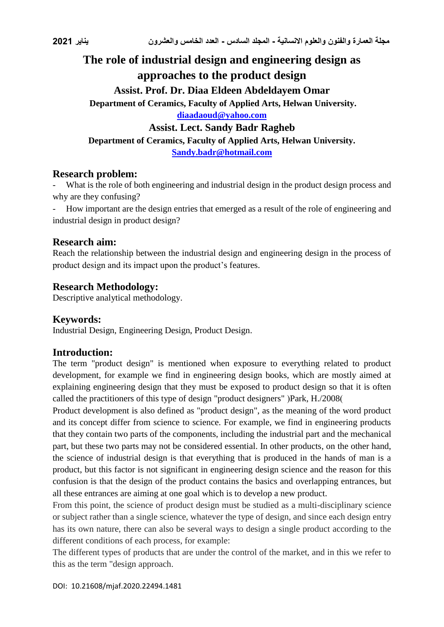# **The role of industrial design and engineering design as approaches to the product design Assist. Prof. Dr. Diaa Eldeen Abdeldayem Omar Department of Ceramics, Faculty of Applied Arts, Helwan University. [diaadaoud@yahoo.com](mailto:diaadaoud@yahoo.com) Assist. Lect. Sandy Badr Ragheb Department of Ceramics, Faculty of Applied Arts, Helwan University. [Sandy.badr@hotmail.com](mailto:Sandy.badr@hotmail.com)**

### **Research problem:**

What is the role of both engineering and industrial design in the product design process and why are they confusing?

- How important are the design entries that emerged as a result of the role of engineering and industrial design in product design?

### **Research aim:**

Reach the relationship between the industrial design and engineering design in the process of product design and its impact upon the product's features.

### **Research Methodology:**

Descriptive analytical methodology.

## **Keywords:**

Industrial Design, Engineering Design, Product Design.

#### **Introduction:**

The term "product design" is mentioned when exposure to everything related to product development, for example we find in engineering design books, which are mostly aimed at explaining engineering design that they must be exposed to product design so that it is often called the practitioners of this type of design "product designers"  $|Park, H. / 2008|$ 

Product development is also defined as "product design", as the meaning of the word product and its concept differ from science to science. For example, we find in engineering products that they contain two parts of the components, including the industrial part and the mechanical part, but these two parts may not be considered essential. In other products, on the other hand, the science of industrial design is that everything that is produced in the hands of man is a product, but this factor is not significant in engineering design science and the reason for this confusion is that the design of the product contains the basics and overlapping entrances, but all these entrances are aiming at one goal which is to develop a new product.

From this point, the science of product design must be studied as a multi-disciplinary science or subject rather than a single science, whatever the type of design, and since each design entry has its own nature, there can also be several ways to design a single product according to the different conditions of each process, for example:

The different types of products that are under the control of the market, and in this we refer to this as the term "design approach.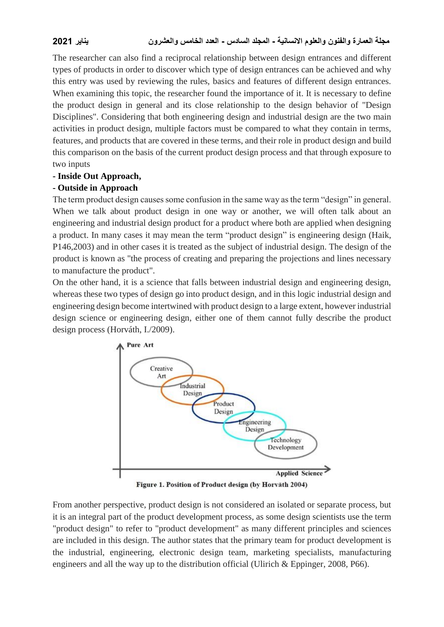The researcher can also find a reciprocal relationship between design entrances and different types of products in order to discover which type of design entrances can be achieved and why this entry was used by reviewing the rules, basics and features of different design entrances. When examining this topic, the researcher found the importance of it. It is necessary to define the product design in general and its close relationship to the design behavior of "Design Disciplines". Considering that both engineering design and industrial design are the two main activities in product design, multiple factors must be compared to what they contain in terms, features, and products that are covered in these terms, and their role in product design and build this comparison on the basis of the current product design process and that through exposure to two inputs

#### **- Inside Out Approach,**

#### **- Outside in Approach**

The term product design causes some confusion in the same way as the term "design" in general. When we talk about product design in one way or another, we will often talk about an engineering and industrial design product for a product where both are applied when designing a product. In many cases it may mean the term "product design" is engineering design (Haik, P146,2003) and in other cases it is treated as the subject of industrial design. The design of the product is known as "the process of creating and preparing the projections and lines necessary to manufacture the product".

On the other hand, it is a science that falls between industrial design and engineering design, whereas these two types of design go into product design, and in this logic industrial design and engineering design become intertwined with product design to a large extent, however industrial design science or engineering design, either one of them cannot fully describe the product design process (Horváth, I./2009).



Figure 1. Position of Product design (by Horvāth 2004)

From another perspective, product design is not considered an isolated or separate process, but it is an integral part of the product development process, as some design scientists use the term "product design" to refer to "product development" as many different principles and sciences are included in this design. The author states that the primary team for product development is the industrial, engineering, electronic design team, marketing specialists, manufacturing engineers and all the way up to the distribution official (Ulirich & Eppinger, 2008, P66).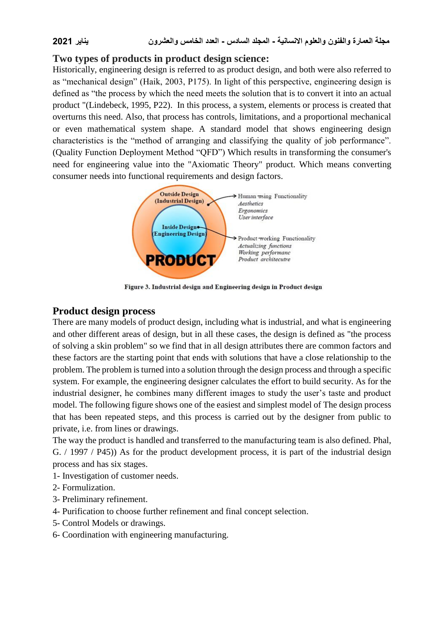## **Two types of products in product design science:**

Historically, engineering design is referred to as product design, and both were also referred to as "mechanical design" (Haik, 2003, P175). In light of this perspective, engineering design is defined as "the process by which the need meets the solution that is to convert it into an actual product "(Lindebeck, 1995, P22). In this process, a system, elements or process is created that overturns this need. Also, that process has controls, limitations, and a proportional mechanical or even mathematical system shape. A standard model that shows engineering design characteristics is the "method of arranging and classifying the quality of job performance". (Quality Function Deployment Method "QFD") Which results in transforming the consumer's need for engineering value into the "Axiomatic Theory" product. Which means converting consumer needs into functional requirements and design factors.



Figure 3. Industrial design and Engineering design in Product design

#### **Product design process**

There are many models of product design, including what is industrial, and what is engineering and other different areas of design, but in all these cases, the design is defined as "the process of solving a skin problem" so we find that in all design attributes there are common factors and these factors are the starting point that ends with solutions that have a close relationship to the problem. The problem is turned into a solution through the design process and through a specific system. For example, the engineering designer calculates the effort to build security. As for the industrial designer, he combines many different images to study the user's taste and product model. The following figure shows one of the easiest and simplest model of The design process that has been repeated steps, and this process is carried out by the designer from public to private, i.e. from lines or drawings.

The way the product is handled and transferred to the manufacturing team is also defined. Phal, G.  $/$  1997  $/$  P45)) As for the product development process, it is part of the industrial design process and has six stages.

- 1- Investigation of customer needs.
- 2- Formulization.
- 3- Preliminary refinement.
- 4- Purification to choose further refinement and final concept selection.
- 5- Control Models or drawings.
- 6- Coordination with engineering manufacturing.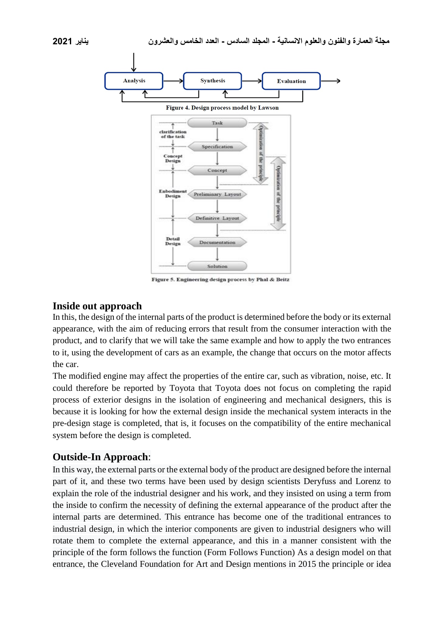

#### **Inside out approach**

In this, the design of the internal parts of the product is determined before the body or its external appearance, with the aim of reducing errors that result from the consumer interaction with the product, and to clarify that we will take the same example and how to apply the two entrances to it, using the development of cars as an example, the change that occurs on the motor affects the car.

The modified engine may affect the properties of the entire car, such as vibration, noise, etc. It could therefore be reported by Toyota that Toyota does not focus on completing the rapid process of exterior designs in the isolation of engineering and mechanical designers, this is because it is looking for how the external design inside the mechanical system interacts in the pre-design stage is completed, that is, it focuses on the compatibility of the entire mechanical system before the design is completed.

## **Outside-In Approach**:

In this way, the external parts or the external body of the product are designed before the internal part of it, and these two terms have been used by design scientists Deryfuss and Lorenz to explain the role of the industrial designer and his work, and they insisted on using a term from the inside to confirm the necessity of defining the external appearance of the product after the internal parts are determined. This entrance has become one of the traditional entrances to industrial design, in which the interior components are given to industrial designers who will rotate them to complete the external appearance, and this in a manner consistent with the principle of the form follows the function (Form Follows Function) As a design model on that entrance, the Cleveland Foundation for Art and Design mentions in 2015 the principle or idea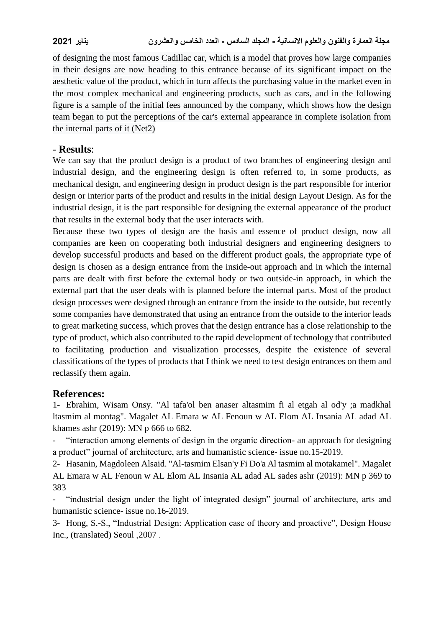of designing the most famous Cadillac car, which is a model that proves how large companies in their designs are now heading to this entrance because of its significant impact on the aesthetic value of the product, which in turn affects the purchasing value in the market even in the most complex mechanical and engineering products, such as cars, and in the following figure is a sample of the initial fees announced by the company, which shows how the design team began to put the perceptions of the car's external appearance in complete isolation from the internal parts of it (Net2)

## **- Results**:

We can say that the product design is a product of two branches of engineering design and industrial design, and the engineering design is often referred to, in some products, as mechanical design, and engineering design in product design is the part responsible for interior design or interior parts of the product and results in the initial design Layout Design. As for the industrial design, it is the part responsible for designing the external appearance of the product that results in the external body that the user interacts with.

Because these two types of design are the basis and essence of product design, now all companies are keen on cooperating both industrial designers and engineering designers to develop successful products and based on the different product goals, the appropriate type of design is chosen as a design entrance from the inside-out approach and in which the internal parts are dealt with first before the external body or two outside-in approach, in which the external part that the user deals with is planned before the internal parts. Most of the product design processes were designed through an entrance from the inside to the outside, but recently some companies have demonstrated that using an entrance from the outside to the interior leads to great marketing success, which proves that the design entrance has a close relationship to the type of product, which also contributed to the rapid development of technology that contributed to facilitating production and visualization processes, despite the existence of several classifications of the types of products that I think we need to test design entrances on them and reclassify them again.

#### **References:**

1- Ebrahim, Wisam Onsy. "Al tafa'ol ben anaser altasmim fi al etgah al od'y ;a madkhal ltasmim al montag". Magalet AL Emara w AL Fenoun w AL Elom AL Insania AL adad AL khames ashr (2019): MN p 666 to 682.

- "interaction among elements of design in the organic direction- an approach for designing a product" journal of architecture, arts and humanistic science- issue no.15-2019.

2- Hasanin, Magdoleen Alsaid. "Al-tasmim Elsan'y Fi Do'a Al tasmim al motakamel". Magalet AL Emara w AL Fenoun w AL Elom AL Insania AL adad AL sades ashr (2019): MN p 369 to 383

- "industrial design under the light of integrated design" journal of architecture, arts and humanistic science- issue no.16-2019.

3- Hong, S.-S., "Industrial Design: Application case of theory and proactive", Design House Inc., (translated) Seoul ,2007 .